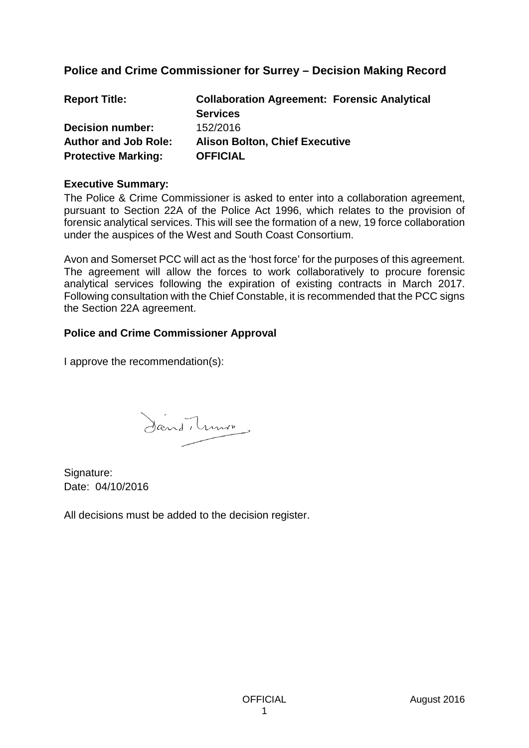# **Police and Crime Commissioner for Surrey – Decision Making Record**

| <b>Report Title:</b>        | <b>Collaboration Agreement: Forensic Analytical</b> |
|-----------------------------|-----------------------------------------------------|
|                             | <b>Services</b>                                     |
| <b>Decision number:</b>     | 152/2016                                            |
| <b>Author and Job Role:</b> | <b>Alison Bolton, Chief Executive</b>               |
| <b>Protective Marking:</b>  | <b>OFFICIAL</b>                                     |

#### **Executive Summary:**

The Police & Crime Commissioner is asked to enter into a collaboration agreement, pursuant to Section 22A of the Police Act 1996, which relates to the provision of forensic analytical services. This will see the formation of a new, 19 force collaboration under the auspices of the West and South Coast Consortium.

Avon and Somerset PCC will act as the 'host force' for the purposes of this agreement. The agreement will allow the forces to work collaboratively to procure forensic analytical services following the expiration of existing contracts in March 2017. Following consultation with the Chief Constable, it is recommended that the PCC signs the Section 22A agreement.

### **Police and Crime Commissioner Approval**

I approve the recommendation(s):

Sand, tunio

Signature: Date: 04/10/2016

All decisions must be added to the decision register.